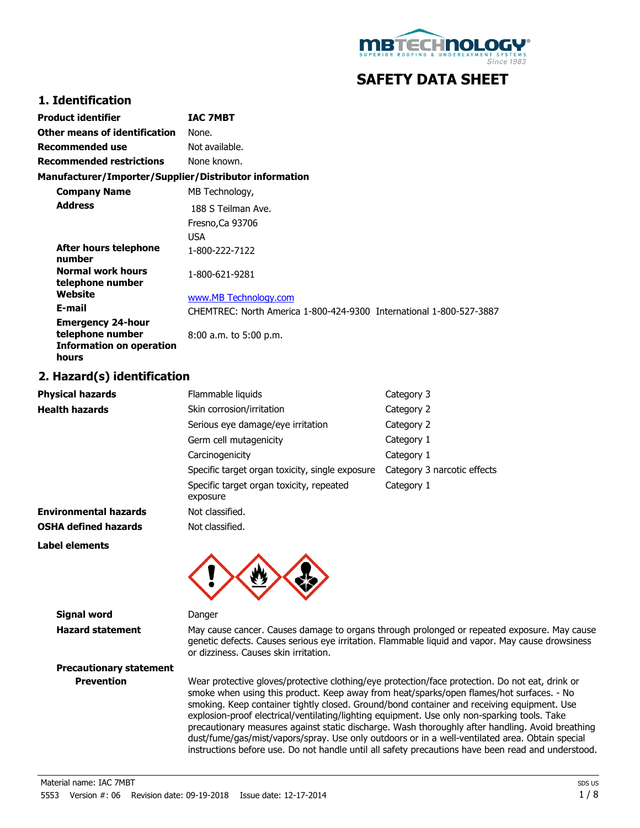

# **SAFETY DATA SHEET**

#### **1. Identification**

| Product identifier                                                                       | <b>IAC 7MBT</b>                                                     |
|------------------------------------------------------------------------------------------|---------------------------------------------------------------------|
| Other means of identification                                                            | None.                                                               |
| Recommended use                                                                          | Not available.                                                      |
| <b>Recommended restrictions</b>                                                          | None known.                                                         |
| Manufacturer/Importer/Supplier/Distributor information                                   |                                                                     |
| <b>Company Name</b>                                                                      | MB Technology,                                                      |
| <b>Address</b>                                                                           | 188 S Teilman Ave.<br>Fresno, Ca 93706<br><b>USA</b>                |
| After hours telephone<br>number                                                          | 1-800-222-7122                                                      |
| Normal work hours<br>telephone number                                                    | 1-800-621-9281                                                      |
| Website                                                                                  | www.MB Technology.com                                               |
| E-mail                                                                                   | CHEMTREC: North America 1-800-424-9300 International 1-800-527-3887 |
| <b>Emergency 24-hour</b><br>telephone number<br><b>Information on operation</b><br>hours | $8:00$ a.m. to $5:00$ p.m.                                          |

#### **2. Hazard(s) identification**

| <b>Physical hazards</b>      | Flammable liquids                                    | Category 3                  |
|------------------------------|------------------------------------------------------|-----------------------------|
| <b>Health hazards</b>        | Skin corrosion/irritation                            | Category 2                  |
|                              | Serious eye damage/eye irritation                    | Category 2                  |
|                              | Germ cell mutagenicity                               | Category 1                  |
|                              | Carcinogenicity                                      | Category 1                  |
|                              | Specific target organ toxicity, single exposure      | Category 3 narcotic effects |
|                              | Specific target organ toxicity, repeated<br>exposure | Category 1                  |
| <b>Environmental hazards</b> | Not classified.                                      |                             |
| <b>OSHA defined hazards</b>  | Not classified.                                      |                             |
| Label elements               | $\blacksquare$<br>$\blacksquare$                     |                             |



**Signal word** Danger

**Hazard statement** May cause cancer. Causes damage to organs through prolonged or repeated exposure. May cause genetic defects. Causes serious eye irritation. Flammable liquid and vapor. May cause drowsiness or dizziness. Causes skin irritation.

**Precautionary statement**

**Prevention** Wear protective gloves/protective clothing/eye protection/face protection. Do not eat, drink or smoke when using this product. Keep away from heat/sparks/open flames/hot surfaces. - No smoking. Keep container tightly closed. Ground/bond container and receiving equipment. Use explosion-proof electrical/ventilating/lighting equipment. Use only non-sparking tools. Take precautionary measures against static discharge. Wash thoroughly after handling. Avoid breathing dust/fume/gas/mist/vapors/spray. Use only outdoors or in a well-ventilated area. Obtain special instructions before use. Do not handle until all safety precautions have been read and understood.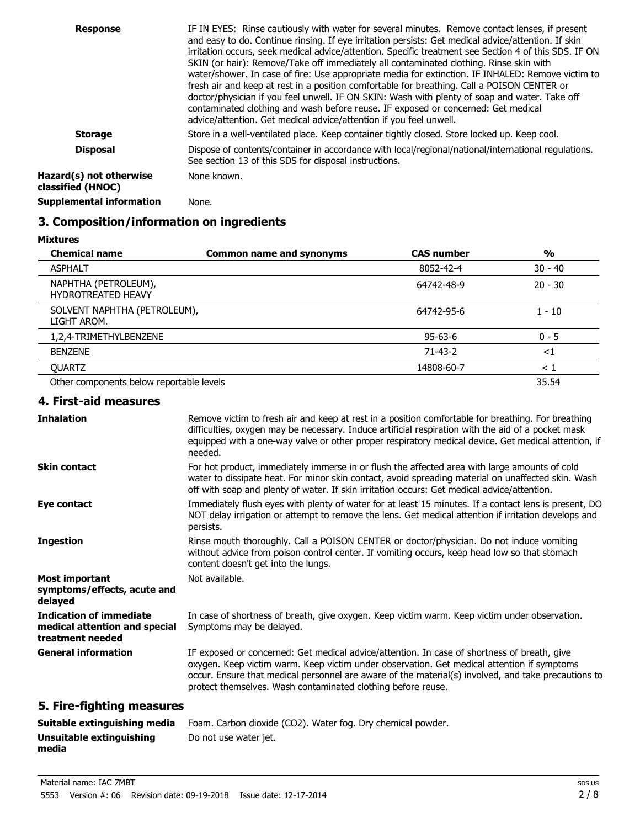| <b>Response</b>                              | IF IN EYES: Rinse cautiously with water for several minutes. Remove contact lenses, if present<br>and easy to do. Continue rinsing. If eye irritation persists: Get medical advice/attention. If skin<br>irritation occurs, seek medical advice/attention. Specific treatment see Section 4 of this SDS. IF ON<br>SKIN (or hair): Remove/Take off immediately all contaminated clothing. Rinse skin with<br>water/shower. In case of fire: Use appropriate media for extinction. IF INHALED: Remove victim to<br>fresh air and keep at rest in a position comfortable for breathing. Call a POISON CENTER or<br>doctor/physician if you feel unwell. IF ON SKIN: Wash with plenty of soap and water. Take off<br>contaminated clothing and wash before reuse. IF exposed or concerned: Get medical<br>advice/attention. Get medical advice/attention if you feel unwell. |
|----------------------------------------------|--------------------------------------------------------------------------------------------------------------------------------------------------------------------------------------------------------------------------------------------------------------------------------------------------------------------------------------------------------------------------------------------------------------------------------------------------------------------------------------------------------------------------------------------------------------------------------------------------------------------------------------------------------------------------------------------------------------------------------------------------------------------------------------------------------------------------------------------------------------------------|
| <b>Storage</b>                               | Store in a well-ventilated place. Keep container tightly closed. Store locked up. Keep cool.                                                                                                                                                                                                                                                                                                                                                                                                                                                                                                                                                                                                                                                                                                                                                                             |
| <b>Disposal</b>                              | Dispose of contents/container in accordance with local/regional/national/international regulations.<br>See section 13 of this SDS for disposal instructions.                                                                                                                                                                                                                                                                                                                                                                                                                                                                                                                                                                                                                                                                                                             |
| Hazard(s) not otherwise<br>classified (HNOC) | None known.                                                                                                                                                                                                                                                                                                                                                                                                                                                                                                                                                                                                                                                                                                                                                                                                                                                              |
| <b>Supplemental information</b>              | None.                                                                                                                                                                                                                                                                                                                                                                                                                                                                                                                                                                                                                                                                                                                                                                                                                                                                    |

# **3. Composition/information on ingredients**

**Mixtures**

| <b>Chemical name</b>                              | <b>Common name and synonyms</b> | <b>CAS number</b> | $\frac{0}{0}$ |
|---------------------------------------------------|---------------------------------|-------------------|---------------|
| <b>ASPHALT</b>                                    |                                 | 8052-42-4         | $30 - 40$     |
| NAPHTHA (PETROLEUM),<br><b>HYDROTREATED HEAVY</b> |                                 | 64742-48-9        | $20 - 30$     |
| SOLVENT NAPHTHA (PETROLEUM),<br>LIGHT AROM.       |                                 | 64742-95-6        | $1 - 10$      |
| 1,2,4-TRIMETHYLBENZENE                            |                                 | $95 - 63 - 6$     | $0 - 5$       |
| <b>BENZENE</b>                                    |                                 | $71 - 43 - 2$     | ${<}1$        |
| <b>OUARTZ</b>                                     |                                 | 14808-60-7        | $\leq 1$      |
| Other components below reportable levels          |                                 |                   | 35.54         |

#### **4. First-aid measures**

| <b>Inhalation</b>                                                                   | Remove victim to fresh air and keep at rest in a position comfortable for breathing. For breathing<br>difficulties, oxygen may be necessary. Induce artificial respiration with the aid of a pocket mask<br>equipped with a one-way valve or other proper respiratory medical device. Get medical attention, if<br>needed.                                       |
|-------------------------------------------------------------------------------------|------------------------------------------------------------------------------------------------------------------------------------------------------------------------------------------------------------------------------------------------------------------------------------------------------------------------------------------------------------------|
| <b>Skin contact</b>                                                                 | For hot product, immediately immerse in or flush the affected area with large amounts of cold<br>water to dissipate heat. For minor skin contact, avoid spreading material on unaffected skin. Wash<br>off with soap and plenty of water. If skin irritation occurs: Get medical advice/attention.                                                               |
| Eye contact                                                                         | Immediately flush eyes with plenty of water for at least 15 minutes. If a contact lens is present, DO<br>NOT delay irrigation or attempt to remove the lens. Get medical attention if irritation develops and<br>persists.                                                                                                                                       |
| <b>Ingestion</b>                                                                    | Rinse mouth thoroughly. Call a POISON CENTER or doctor/physician. Do not induce vomiting<br>without advice from poison control center. If vomiting occurs, keep head low so that stomach<br>content doesn't get into the lungs.                                                                                                                                  |
| <b>Most important</b><br>symptoms/effects, acute and<br>delayed                     | Not available.                                                                                                                                                                                                                                                                                                                                                   |
| <b>Indication of immediate</b><br>medical attention and special<br>treatment needed | In case of shortness of breath, give oxygen. Keep victim warm. Keep victim under observation.<br>Symptoms may be delayed.                                                                                                                                                                                                                                        |
| <b>General information</b>                                                          | IF exposed or concerned: Get medical advice/attention. In case of shortness of breath, give<br>oxygen. Keep victim warm. Keep victim under observation. Get medical attention if symptoms<br>occur. Ensure that medical personnel are aware of the material(s) involved, and take precautions to<br>protect themselves. Wash contaminated clothing before reuse. |
| 5. Fire-fighting measures                                                           |                                                                                                                                                                                                                                                                                                                                                                  |

#### **Suitable extinguishing media Unsuitable extinguishing media** Foam. Carbon dioxide (CO2). Water fog. Dry chemical powder. Do not use water jet.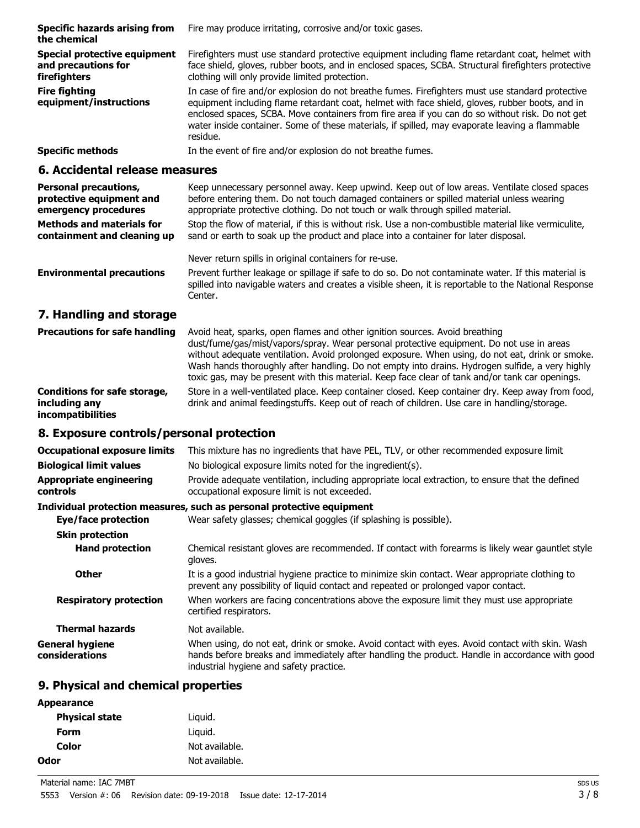| <b>Specific hazards arising from</b><br>the chemical                | Fire may produce irritating, corrosive and/or toxic gases.                                                                                                                                                                                                                                                                                                                                                           |
|---------------------------------------------------------------------|----------------------------------------------------------------------------------------------------------------------------------------------------------------------------------------------------------------------------------------------------------------------------------------------------------------------------------------------------------------------------------------------------------------------|
| Special protective equipment<br>and precautions for<br>firefighters | Firefighters must use standard protective equipment including flame retardant coat, helmet with<br>face shield, gloves, rubber boots, and in enclosed spaces, SCBA. Structural firefighters protective<br>clothing will only provide limited protection.                                                                                                                                                             |
| <b>Fire fighting</b><br>equipment/instructions                      | In case of fire and/or explosion do not breathe fumes. Firefighters must use standard protective<br>equipment including flame retardant coat, helmet with face shield, gloves, rubber boots, and in<br>enclosed spaces, SCBA. Move containers from fire area if you can do so without risk. Do not get<br>water inside container. Some of these materials, if spilled, may evaporate leaving a flammable<br>residue. |
| <b>Specific methods</b>                                             | In the event of fire and/or explosion do not breathe fumes.                                                                                                                                                                                                                                                                                                                                                          |

#### **6. Accidental release measures**

| <b>Personal precautions,</b><br>protective equipment and<br>emergency procedures | Keep unnecessary personnel away. Keep upwind. Keep out of low areas. Ventilate closed spaces<br>before entering them. Do not touch damaged containers or spilled material unless wearing<br>appropriate protective clothing. Do not touch or walk through spilled material. |
|----------------------------------------------------------------------------------|-----------------------------------------------------------------------------------------------------------------------------------------------------------------------------------------------------------------------------------------------------------------------------|
| <b>Methods and materials for</b><br>containment and cleaning up                  | Stop the flow of material, if this is without risk. Use a non-combustible material like vermiculite,<br>sand or earth to soak up the product and place into a container for later disposal.                                                                                 |
|                                                                                  | Never return spills in original containers for re-use.                                                                                                                                                                                                                      |
| <b>Environmental precautions</b>                                                 | Prevent further leakage or spillage if safe to do so. Do not contaminate water. If this material is<br>spilled into navigable waters and creates a visible sheen, it is reportable to the National Response<br>Center.                                                      |
| 7. Handling and storage                                                          |                                                                                                                                                                                                                                                                             |

| <b>Precautions for safe handling</b>                                             | Avoid heat, sparks, open flames and other ignition sources. Avoid breathing<br>dust/fume/gas/mist/vapors/spray. Wear personal protective equipment. Do not use in areas<br>without adequate ventilation. Avoid prolonged exposure. When using, do not eat, drink or smoke.<br>Wash hands thoroughly after handling. Do not empty into drains. Hydrogen sulfide, a very highly<br>toxic gas, may be present with this material. Keep face clear of tank and/or tank car openings. |
|----------------------------------------------------------------------------------|----------------------------------------------------------------------------------------------------------------------------------------------------------------------------------------------------------------------------------------------------------------------------------------------------------------------------------------------------------------------------------------------------------------------------------------------------------------------------------|
| <b>Conditions for safe storage,</b><br>including any<br><i>incompatibilities</i> | Store in a well-ventilated place. Keep container closed. Keep container dry. Keep away from food,<br>drink and animal feedingstuffs. Keep out of reach of children. Use care in handling/storage.                                                                                                                                                                                                                                                                                |

# **8. Exposure controls/personal protection**

| <b>Occupational exposure limits</b>               | This mixture has no ingredients that have PEL, TLV, or other recommended exposure limit                                                                                                                                                     |
|---------------------------------------------------|---------------------------------------------------------------------------------------------------------------------------------------------------------------------------------------------------------------------------------------------|
| <b>Biological limit values</b>                    | No biological exposure limits noted for the ingredient(s).                                                                                                                                                                                  |
| <b>Appropriate engineering</b><br><b>controls</b> | Provide adequate ventilation, including appropriate local extraction, to ensure that the defined<br>occupational exposure limit is not exceeded.                                                                                            |
|                                                   | Individual protection measures, such as personal protective equipment                                                                                                                                                                       |
| Eye/face protection                               | Wear safety glasses; chemical goggles (if splashing is possible).                                                                                                                                                                           |
| <b>Skin protection</b>                            |                                                                                                                                                                                                                                             |
| <b>Hand protection</b>                            | Chemical resistant gloves are recommended. If contact with forearms is likely wear gauntlet style<br>gloves.                                                                                                                                |
| <b>Other</b>                                      | It is a good industrial hygiene practice to minimize skin contact. Wear appropriate clothing to<br>prevent any possibility of liquid contact and repeated or prolonged vapor contact.                                                       |
| <b>Respiratory protection</b>                     | When workers are facing concentrations above the exposure limit they must use appropriate<br>certified respirators.                                                                                                                         |
| <b>Thermal hazards</b>                            | Not available.                                                                                                                                                                                                                              |
| <b>General hygiene</b><br>considerations          | When using, do not eat, drink or smoke. Avoid contact with eyes. Avoid contact with skin. Wash<br>hands before breaks and immediately after handling the product. Handle in accordance with good<br>industrial hygiene and safety practice. |

# **9. Physical and chemical properties**

| <b>Appearance</b>     |                |
|-----------------------|----------------|
| <b>Physical state</b> | Liguid.        |
| Form                  | Liguid.        |
| Color                 | Not available. |
| Odor                  | Not available. |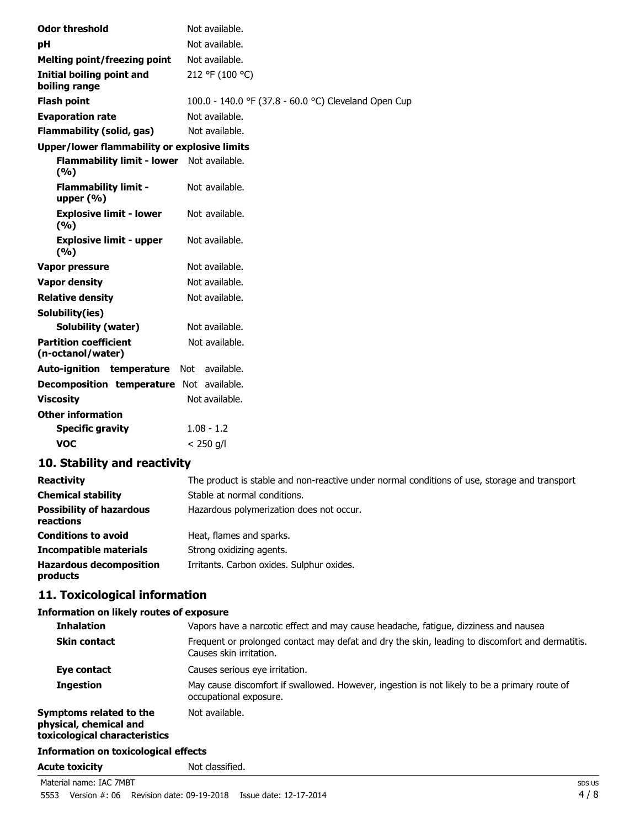| <b>Odor threshold</b>                               | Not available.                                       |
|-----------------------------------------------------|------------------------------------------------------|
| рH                                                  | Not available.                                       |
| <b>Melting point/freezing point</b>                 | Not available.                                       |
| Initial boiling point and<br>boiling range          | 212 °F (100 °C)                                      |
| <b>Flash point</b>                                  | 100.0 - 140.0 °F (37.8 - 60.0 °C) Cleveland Open Cup |
| <b>Evaporation rate</b>                             | Not available.                                       |
| <b>Flammability (solid, gas)</b>                    | Not available.                                       |
| <b>Upper/lower flammability or explosive limits</b> |                                                      |
| Flammability limit - lower Not available.<br>(%)    |                                                      |
| <b>Flammability limit -</b><br>upper $(% )$         | Not available.                                       |
| <b>Explosive limit - lower</b><br>(%)               | Not available.                                       |
| <b>Explosive limit - upper</b><br>(9/0)             | Not available.                                       |
| Vapor pressure                                      | Not available.                                       |
| <b>Vapor density</b>                                | Not available.                                       |
| <b>Relative density</b>                             | Not available.                                       |
| Solubility(ies)                                     |                                                      |
| <b>Solubility (water)</b>                           | Not available.                                       |
| <b>Partition coefficient</b><br>(n-octanol/water)   | Not available.                                       |
| Auto-ignition temperature                           | available.<br>Not                                    |
| Decomposition temperature Not available.            |                                                      |
| <b>Viscosity</b>                                    | Not available.                                       |
| <b>Other information</b>                            |                                                      |
| <b>Specific gravity</b>                             | $1.08 - 1.2$                                         |
| <b>VOC</b>                                          | $< 250$ g/l                                          |

# **10. Stability and reactivity**

| <b>Reactivity</b>                            | The product is stable and non-reactive under normal conditions of use, storage and transport |
|----------------------------------------------|----------------------------------------------------------------------------------------------|
| <b>Chemical stability</b>                    | Stable at normal conditions.                                                                 |
| <b>Possibility of hazardous</b><br>reactions | Hazardous polymerization does not occur.                                                     |
| <b>Conditions to avoid</b>                   | Heat, flames and sparks.                                                                     |
| <b>Incompatible materials</b>                | Strong oxidizing agents.                                                                     |
| <b>Hazardous decomposition</b><br>products   | Irritants. Carbon oxides. Sulphur oxides.                                                    |

# **11. Toxicological information**

#### **Information on likely routes of exposure**

| <b>Inhalation</b>                                                                  | Vapors have a narcotic effect and may cause headache, fatigue, dizziness and nausea                                        |
|------------------------------------------------------------------------------------|----------------------------------------------------------------------------------------------------------------------------|
|                                                                                    |                                                                                                                            |
| <b>Skin contact</b>                                                                | Frequent or prolonged contact may defat and dry the skin, leading to discomfort and dermatitis.<br>Causes skin irritation. |
| Eye contact                                                                        | Causes serious eye irritation.                                                                                             |
| <b>Ingestion</b>                                                                   | May cause discomfort if swallowed. However, ingestion is not likely to be a primary route of<br>occupational exposure.     |
| Symptoms related to the<br>physical, chemical and<br>toxicological characteristics | Not available.                                                                                                             |
| <b>Information on toxicological effects</b>                                        |                                                                                                                            |
| <b>Acute toxicity</b>                                                              | Not classified.                                                                                                            |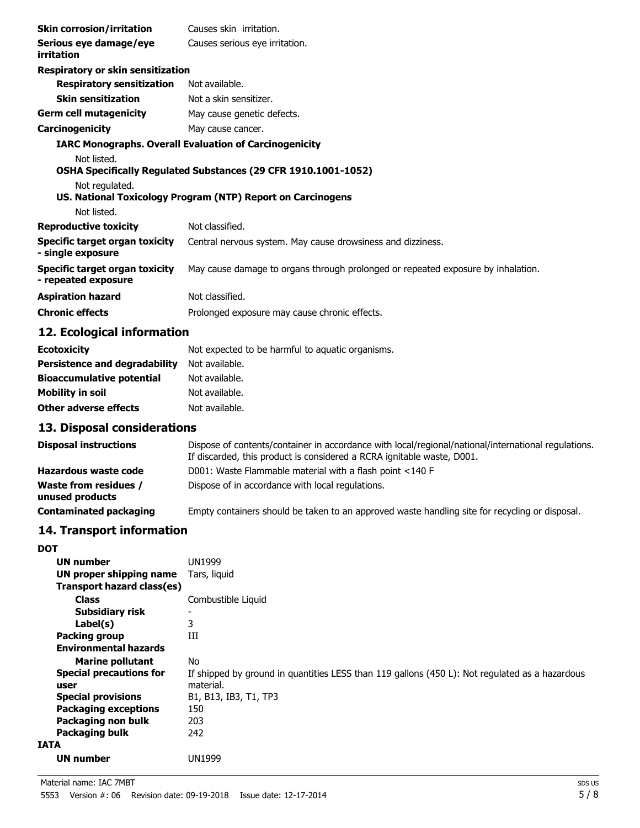| <b>Skin corrosion/irritation</b>                      | Causes skin irritation.                                                          |
|-------------------------------------------------------|----------------------------------------------------------------------------------|
| Serious eye damage/eye<br>irritation                  | Causes serious eye irritation.                                                   |
| Respiratory or skin sensitization                     |                                                                                  |
| <b>Respiratory sensitization</b>                      | Not available.                                                                   |
| <b>Skin sensitization</b>                             | Not a skin sensitizer.                                                           |
| <b>Germ cell mutagenicity</b>                         | May cause genetic defects.                                                       |
| Carcinogenicity                                       | May cause cancer.                                                                |
|                                                       | <b>IARC Monographs. Overall Evaluation of Carcinogenicity</b>                    |
| Not listed.                                           |                                                                                  |
|                                                       | OSHA Specifically Regulated Substances (29 CFR 1910.1001-1052)                   |
| Not regulated.                                        | US. National Toxicology Program (NTP) Report on Carcinogens                      |
| Not listed.                                           |                                                                                  |
| <b>Reproductive toxicity</b>                          | Not classified.                                                                  |
| Specific target organ toxicity<br>- single exposure   | Central nervous system. May cause drowsiness and dizziness.                      |
| Specific target organ toxicity<br>- repeated exposure | May cause damage to organs through prolonged or repeated exposure by inhalation. |
| <b>Aspiration hazard</b>                              | Not classified.                                                                  |
| <b>Chronic effects</b>                                | Prolonged exposure may cause chronic effects.                                    |

## **12. Ecological information**

| <b>Ecotoxicity</b>                   | Not expected to be harmful to aquatic organisms. |
|--------------------------------------|--------------------------------------------------|
| <b>Persistence and degradability</b> | Not available.                                   |
| <b>Bioaccumulative potential</b>     | Not available.                                   |
| <b>Mobility in soil</b>              | Not available.                                   |
| Other adverse effects                | Not available.                                   |

# **13. Disposal considerations**

| <b>Disposal instructions</b>                    | Dispose of contents/container in accordance with local/regional/national/international regulations.<br>If discarded, this product is considered a RCRA ignitable waste, D001. |
|-------------------------------------------------|-------------------------------------------------------------------------------------------------------------------------------------------------------------------------------|
| Hazardous waste code                            | D001: Waste Flammable material with a flash point <140 F                                                                                                                      |
| <b>Waste from residues /</b><br>unused products | Dispose of in accordance with local regulations.                                                                                                                              |
| <b>Contaminated packaging</b>                   | Empty containers should be taken to an approved waste handling site for recycling or disposal.                                                                                |

## **14. Transport information**

| <b>DOT</b>                             |                                                                                                             |
|----------------------------------------|-------------------------------------------------------------------------------------------------------------|
| UN number                              | UN1999                                                                                                      |
| UN proper shipping name                | Tars, liquid                                                                                                |
| <b>Transport hazard class(es)</b>      |                                                                                                             |
| <b>Class</b>                           | Combustible Liquid                                                                                          |
| Subsidiary risk                        |                                                                                                             |
| Label(s)                               | 3                                                                                                           |
| <b>Packing group</b>                   | Ш                                                                                                           |
| <b>Environmental hazards</b>           |                                                                                                             |
| <b>Marine pollutant</b>                | No.                                                                                                         |
| <b>Special precautions for</b><br>user | If shipped by ground in quantities LESS than 119 gallons (450 L): Not regulated as a hazardous<br>material. |
| <b>Special provisions</b>              | B1, B13, IB3, T1, TP3                                                                                       |
| <b>Packaging exceptions</b>            | 150                                                                                                         |
| Packaging non bulk                     | 203                                                                                                         |
| Packaging bulk                         | 242                                                                                                         |
| <b>IATA</b>                            |                                                                                                             |
| <b>UN number</b>                       | UN1999                                                                                                      |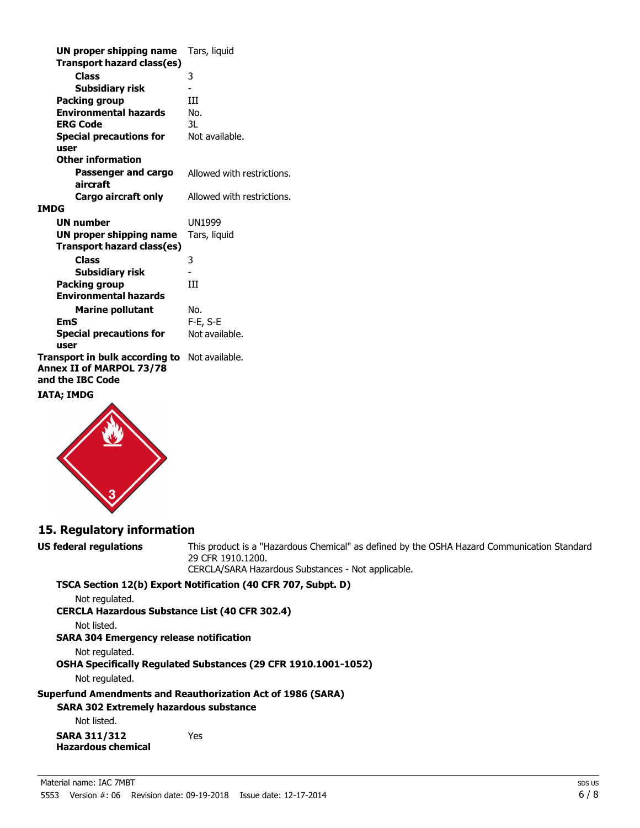| UN proper shipping name<br><b>Transport hazard class(es)</b>                   | Tars, liquid               |
|--------------------------------------------------------------------------------|----------------------------|
| Class                                                                          | 3                          |
| <b>Subsidiary risk</b>                                                         |                            |
| Packing group                                                                  | Ш                          |
| <b>Environmental hazards</b>                                                   | No.                        |
| <b>ERG Code</b>                                                                | 3L                         |
| <b>Special precautions for</b><br>user                                         | Not available.             |
| <b>Other information</b>                                                       |                            |
| Passenger and cargo<br>aircraft                                                | Allowed with restrictions. |
| Cargo aircraft only                                                            | Allowed with restrictions. |
| IMDG                                                                           |                            |
| <b>UN number</b>                                                               | UN1999                     |
| UN proper shipping name                                                        | Tars, liquid               |
| Transport hazard class(es)                                                     |                            |
| <b>Class</b>                                                                   | 3                          |
| <b>Subsidiary risk</b>                                                         |                            |
| <b>Packing group</b>                                                           | Ш                          |
| <b>Environmental hazards</b>                                                   |                            |
| <b>Marine pollutant</b>                                                        | No.                        |
| EmS                                                                            | F-E, S-E                   |
| <b>Special precautions for</b><br>user                                         | Not available.             |
| Transport in bulk according to<br>Annex II of MARPOL 73/78<br>and the IBC Code | Not available.             |

#### **IATA; IMDG**



#### **15. Regulatory information**

**US federal regulations** This product is a "Hazardous Chemical" as defined by the OSHA Hazard Communication Standard 29 CFR 1910.1200.

CERCLA/SARA Hazardous Substances - Not applicable.

**TSCA Section 12(b) Export Notification (40 CFR 707, Subpt. D)**

Not regulated.

**CERCLA Hazardous Substance List (40 CFR 302.4)**

Not listed.

**SARA 304 Emergency release notification**

Not regulated. **OSHA Specifically Regulated Substances (29 CFR 1910.1001-1052)**

Not regulated.

**Superfund Amendments and Reauthorization Act of 1986 (SARA)** 

**SARA 302 Extremely hazardous substance** 

Not listed. **SARA 311/312**

**Hazardous chemical**

Yes